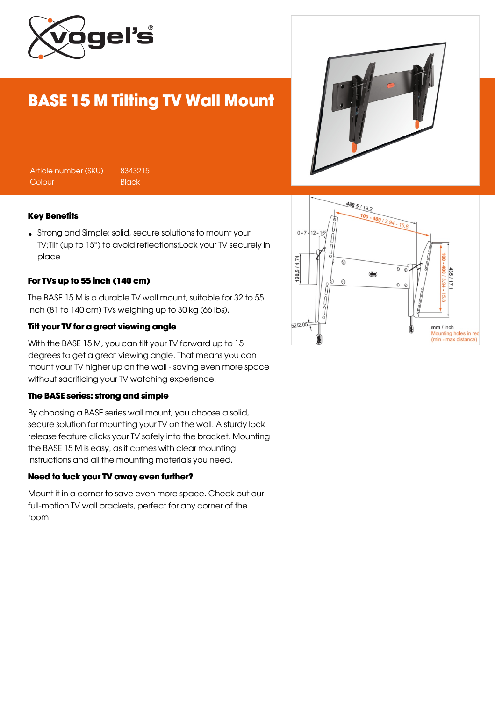

# BASE 15 M Tilting TV Wall Mount

|--|

Article number (SKU) 8343215 Colour Black

#### Key Benefits

Strong and Simple: solid, secure solutions to mount your TV;Tilt (up to 15°) to avoid reflections;Lock your TV securely in place

#### For TVs up to 55 inch (140 cm)

The BASE 15 M is a durable TV wall mount, suitable for 32 to 55 inch (81 to 140 cm) TVs weighing up to 30 kg (66 lbs).

#### Tilt your TV for a great viewing angle

With the BASE 15 M, you can tilt your TV forward up to 15 degrees to get a great viewing angle. That means you can mount your TV higher up on the wall - saving even more space without sacrificing your TV watching experience.

#### The BASE series: strong and simple

By choosing a BASE series wall mount, you choose a solid, secure solution for mounting your TV on the wall. A sturdy lock release feature clicks your TV safely into the bracket. Mounting the BASE 15 M is easy, as it comes with clear mounting instructions and all the mounting materials you need.

#### Need to tuck your TV away even further?

Mount it in a corner to save even more space. Check out our full-motion TV wall brackets, perfect for any corner of the room.